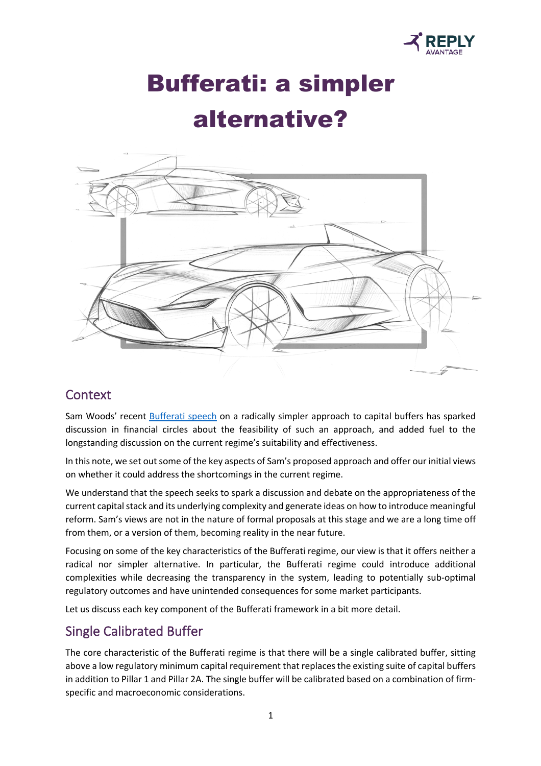

# Bufferati: a simpler alternative?



### **Context**

Sam Woods' recent Bufferati speech on a radically simpler approach to capital buffers has sparked discussion in financial circles about the feasibility of such an approach, and added fuel to the longstanding discussion on the current regime's suitability and effectiveness.

In this note, we set out some of the key aspects of Sam's proposed approach and offer our initial views on whether it could address the shortcomings in the current regime.

We understand that the speech seeks to spark a discussion and debate on the appropriateness of the current capital stack and its underlying complexity and generate ideas on how to introduce meaningful reform. Sam's views are not in the nature of formal proposals at this stage and we are a long time off from them, or a version of them, becoming reality in the near future.

Focusing on some of the key characteristics of the Bufferati regime, our view is that it offers neither a radical nor simpler alternative. In particular, the Bufferati regime could introduce additional complexities while decreasing the transparency in the system, leading to potentially sub-optimal regulatory outcomes and have unintended consequences for some market participants.

Let us discuss each key component of the Bufferati framework in a bit more detail.

## Single Calibrated Buffer

The core characteristic of the Bufferati regime is that there will be a single calibrated buffer, sitting above a low regulatory minimum capital requirement that replaces the existing suite of capital buffers in addition to Pillar 1 and Pillar 2A. The single buffer will be calibrated based on a combination of firmspecific and macroeconomic considerations.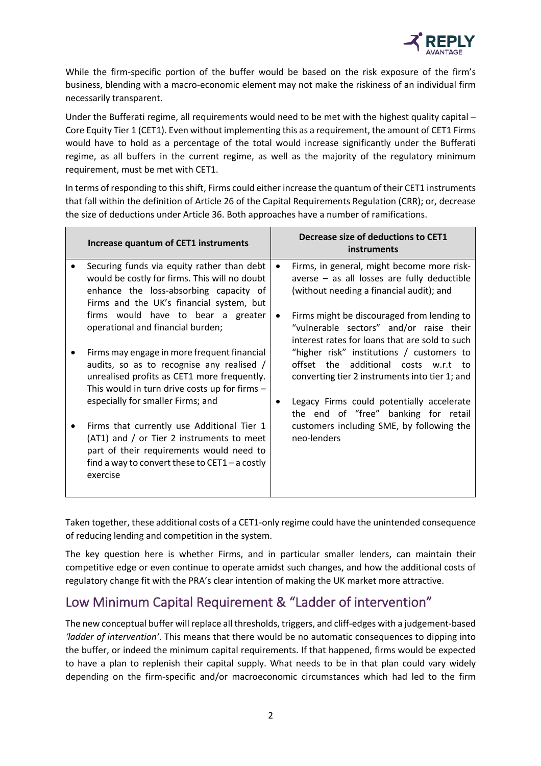

While the firm-specific portion of the buffer would be based on the risk exposure of the firm's business, blending with a macro-economic element may not make the riskiness of an individual firm necessarily transparent.

Under the Bufferati regime, all requirements would need to be met with the highest quality capital – Core Equity Tier 1 (CET1). Even without implementing this as a requirement, the amount of CET1 Firms would have to hold as a percentage of the total would increase significantly under the Bufferati regime, as all buffers in the current regime, as well as the majority of the regulatory minimum requirement, must be met with CET1.

In terms of responding to this shift, Firms could either increase the quantum of their CET1 instruments that fall within the definition of Article 26 of the Capital Requirements Regulation (CRR); or, decrease the size of deductions under Article 36. Both approaches have a number of ramifications.

| Increase quantum of CET1 instruments                                                                                                                                                                | Decrease size of deductions to CET1<br>instruments                                                                                      |
|-----------------------------------------------------------------------------------------------------------------------------------------------------------------------------------------------------|-----------------------------------------------------------------------------------------------------------------------------------------|
| Securing funds via equity rather than debt                                                                                                                                                          | Firms, in general, might become more risk-                                                                                              |
| would be costly for firms. This will no doubt<br>enhance the loss-absorbing capacity of<br>Firms and the UK's financial system, but                                                                 | $average - as all losses are fully deductible$<br>(without needing a financial audit); and                                              |
| firms would have to bear a greater<br>operational and financial burden;                                                                                                                             | Firms might be discouraged from lending to<br>"vulnerable sectors" and/or raise their<br>interest rates for loans that are sold to such |
| Firms may engage in more frequent financial<br>audits, so as to recognise any realised /<br>unrealised profits as CET1 more frequently.<br>This would in turn drive costs up for firms -            | "higher risk" institutions / customers to<br>offset the additional costs w.r.t<br>tο<br>converting tier 2 instruments into tier 1; and  |
| especially for smaller Firms; and                                                                                                                                                                   | Legacy Firms could potentially accelerate<br>the end of "free" banking for retail                                                       |
| Firms that currently use Additional Tier 1<br>(AT1) and / or Tier 2 instruments to meet<br>part of their requirements would need to<br>find a way to convert these to $CET1 - a costly$<br>exercise | customers including SME, by following the<br>neo-lenders                                                                                |
|                                                                                                                                                                                                     |                                                                                                                                         |

Taken together, these additional costs of a CET1-only regime could have the unintended consequence of reducing lending and competition in the system.

The key question here is whether Firms, and in particular smaller lenders, can maintain their competitive edge or even continue to operate amidst such changes, and how the additional costs of regulatory change fit with the PRA's clear intention of making the UK market more attractive.

### Low Minimum Capital Requirement & "Ladder of intervention"

The new conceptual buffer will replace all thresholds, triggers, and cliff-edges with a judgement-based *'ladder of intervention'*. This means that there would be no automatic consequences to dipping into the buffer, or indeed the minimum capital requirements. If that happened, firms would be expected to have a plan to replenish their capital supply. What needs to be in that plan could vary widely depending on the firm-specific and/or macroeconomic circumstances which had led to the firm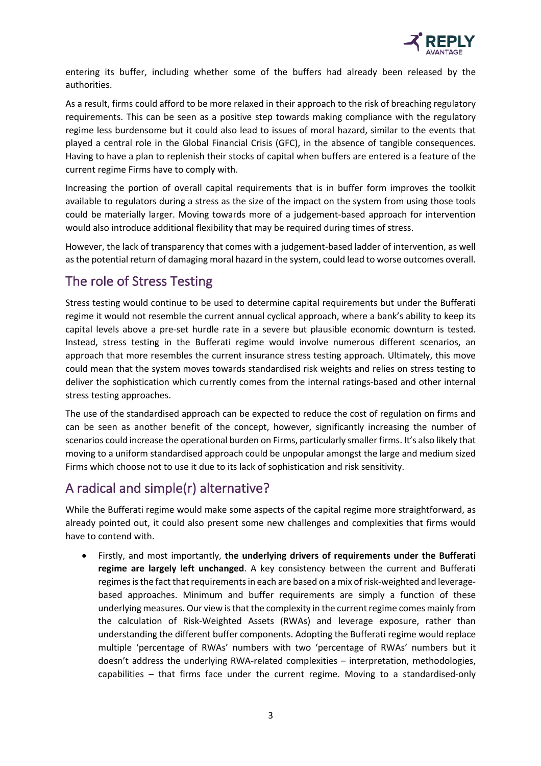

entering its buffer, including whether some of the buffers had already been released by the authorities.

As a result, firms could afford to be more relaxed in their approach to the risk of breaching regulatory requirements. This can be seen as a positive step towards making compliance with the regulatory regime less burdensome but it could also lead to issues of moral hazard, similar to the events that played a central role in the Global Financial Crisis (GFC), in the absence of tangible consequences. Having to have a plan to replenish their stocks of capital when buffers are entered is a feature of the current regime Firms have to comply with.

Increasing the portion of overall capital requirements that is in buffer form improves the toolkit available to regulators during a stress as the size of the impact on the system from using those tools could be materially larger. Moving towards more of a judgement-based approach for intervention would also introduce additional flexibility that may be required during times of stress.

However, the lack of transparency that comes with a judgement-based ladder of intervention, as well as the potential return of damaging moral hazard in the system, could lead to worse outcomes overall.

### The role of Stress Testing

Stress testing would continue to be used to determine capital requirements but under the Bufferati regime it would not resemble the current annual cyclical approach, where a bank's ability to keep its capital levels above a pre-set hurdle rate in a severe but plausible economic downturn is tested. Instead, stress testing in the Bufferati regime would involve numerous different scenarios, an approach that more resembles the current insurance stress testing approach. Ultimately, this move could mean that the system moves towards standardised risk weights and relies on stress testing to deliver the sophistication which currently comes from the internal ratings-based and other internal stress testing approaches.

The use of the standardised approach can be expected to reduce the cost of regulation on firms and can be seen as another benefit of the concept, however, significantly increasing the number of scenarios could increase the operational burden on Firms, particularly smaller firms. It's also likely that moving to a uniform standardised approach could be unpopular amongst the large and medium sized Firms which choose not to use it due to its lack of sophistication and risk sensitivity.

### A radical and simple(r) alternative?

While the Bufferati regime would make some aspects of the capital regime more straightforward, as already pointed out, it could also present some new challenges and complexities that firms would have to contend with.

• Firstly, and most importantly, **the underlying drivers of requirements under the Bufferati regime are largely left unchanged**. A key consistency between the current and Bufferati regimes is the fact that requirements in each are based on a mix of risk-weighted and leveragebased approaches. Minimum and buffer requirements are simply a function of these underlying measures. Our view is that the complexity in the current regime comes mainly from the calculation of Risk-Weighted Assets (RWAs) and leverage exposure, rather than understanding the different buffer components. Adopting the Bufferati regime would replace multiple 'percentage of RWAs' numbers with two 'percentage of RWAs' numbers but it doesn't address the underlying RWA-related complexities – interpretation, methodologies, capabilities – that firms face under the current regime. Moving to a standardised-only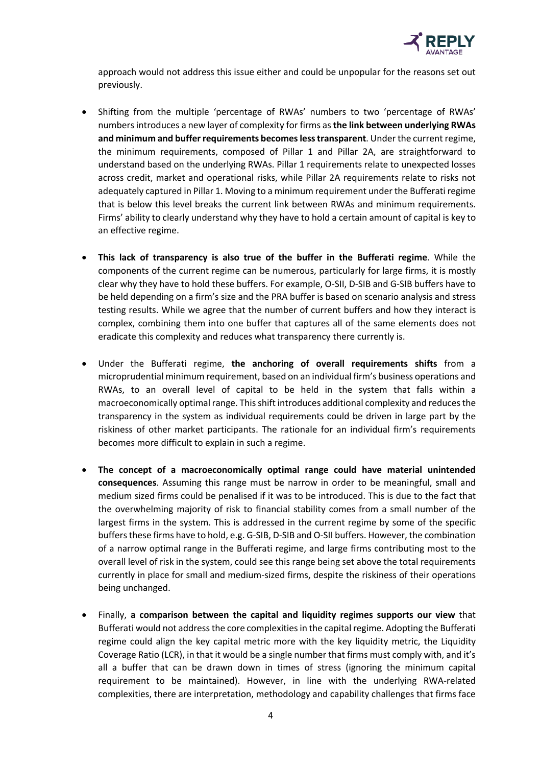

approach would not address this issue either and could be unpopular for the reasons set out previously.

- Shifting from the multiple 'percentage of RWAs' numbers to two 'percentage of RWAs' numbers introduces a new layer of complexity for firms as **the link between underlying RWAs and minimum and buffer requirements becomes less transparent**. Under the current regime, the minimum requirements, composed of Pillar 1 and Pillar 2A, are straightforward to understand based on the underlying RWAs. Pillar 1 requirements relate to unexpected losses across credit, market and operational risks, while Pillar 2A requirements relate to risks not adequately captured in Pillar 1. Moving to a minimum requirement under the Bufferati regime that is below this level breaks the current link between RWAs and minimum requirements. Firms' ability to clearly understand why they have to hold a certain amount of capital is key to an effective regime.
- **This lack of transparency is also true of the buffer in the Bufferati regime**. While the components of the current regime can be numerous, particularly for large firms, it is mostly clear why they have to hold these buffers. For example, O-SII, D-SIB and G-SIB buffers have to be held depending on a firm's size and the PRA buffer is based on scenario analysis and stress testing results. While we agree that the number of current buffers and how they interact is complex, combining them into one buffer that captures all of the same elements does not eradicate this complexity and reduces what transparency there currently is.
- Under the Bufferati regime, **the anchoring of overall requirements shifts** from a microprudential minimum requirement, based on an individual firm's business operations and RWAs, to an overall level of capital to be held in the system that falls within a macroeconomically optimal range. This shift introduces additional complexity and reduces the transparency in the system as individual requirements could be driven in large part by the riskiness of other market participants. The rationale for an individual firm's requirements becomes more difficult to explain in such a regime.
- **The concept of a macroeconomically optimal range could have material unintended consequences**. Assuming this range must be narrow in order to be meaningful, small and medium sized firms could be penalised if it was to be introduced. This is due to the fact that the overwhelming majority of risk to financial stability comes from a small number of the largest firms in the system. This is addressed in the current regime by some of the specific buffers these firms have to hold, e.g. G-SIB, D-SIB and O-SII buffers. However, the combination of a narrow optimal range in the Bufferati regime, and large firms contributing most to the overall level of risk in the system, could see this range being set above the total requirements currently in place for small and medium-sized firms, despite the riskiness of their operations being unchanged.
- Finally, **a comparison between the capital and liquidity regimes supports our view** that Bufferati would not address the core complexities in the capital regime. Adopting the Bufferati regime could align the key capital metric more with the key liquidity metric, the Liquidity Coverage Ratio (LCR), in that it would be a single number that firms must comply with, and it's all a buffer that can be drawn down in times of stress (ignoring the minimum capital requirement to be maintained). However, in line with the underlying RWA-related complexities, there are interpretation, methodology and capability challenges that firms face